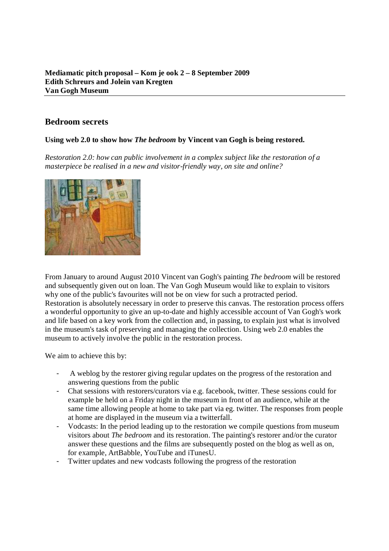# **Bedroom secrets**

## **Using web 2.0 to show how** *The bedroom* **by Vincent van Gogh is being restored.**

*Restoration 2.0: how can public involvement in a complex subject like the restoration of a masterpiece be realised in a new and visitor-friendly way, on site and online?* 



From January to around August 2010 Vincent van Gogh's painting *The bedroom* will be restored and subsequently given out on loan. The Van Gogh Museum would like to explain to visitors why one of the public's favourites will not be on view for such a protracted period. Restoration is absolutely necessary in order to preserve this canvas. The restoration process offers a wonderful opportunity to give an up-to-date and highly accessible account of Van Gogh's work and life based on a key work from the collection and, in passing, to explain just what is involved in the museum's task of preserving and managing the collection. Using web 2.0 enables the museum to actively involve the public in the restoration process.

We aim to achieve this by:

- A weblog by the restorer giving regular updates on the progress of the restoration and answering questions from the public
- Chat sessions with restorers/curators via e.g. facebook, twitter. These sessions could for example be held on a Friday night in the museum in front of an audience, while at the same time allowing people at home to take part via eg. twitter. The responses from people at home are displayed in the museum via a twitterfall.
- Vodcasts: In the period leading up to the restoration we compile questions from museum visitors about *The bedroom* and its restoration. The painting's restorer and/or the curator answer these questions and the films are subsequently posted on the blog as well as on, for example, ArtBabble, YouTube and iTunesU.
- Twitter updates and new vodcasts following the progress of the restoration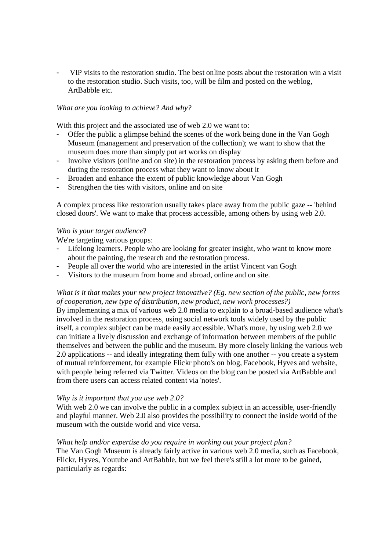VIP visits to the restoration studio. The best online posts about the restoration win a visit to the restoration studio. Such visits, too, will be film and posted on the weblog, ArtBabble etc.

#### *What are you looking to achieve? And why?*

With this project and the associated use of web 2.0 we want to:

- Offer the public a glimpse behind the scenes of the work being done in the Van Gogh Museum (management and preservation of the collection); we want to show that the museum does more than simply put art works on display
- Involve visitors (online and on site) in the restoration process by asking them before and during the restoration process what they want to know about it
- Broaden and enhance the extent of public knowledge about Van Gogh
- Strengthen the ties with visitors, online and on site

A complex process like restoration usually takes place away from the public gaze -- 'behind closed doors'. We want to make that process accessible, among others by using web 2.0.

#### *Who is your target audience*?

We're targeting various groups:

- Lifelong learners. People who are looking for greater insight, who want to know more about the painting, the research and the restoration process.
- People all over the world who are interested in the artist Vincent van Gogh
- Visitors to the museum from home and abroad, online and on site.

### *What is it that makes your new project innovative? (Eg. new section of the public, new forms of cooperation, new type of distribution, new product, new work processes?)*

By implementing a mix of various web 2.0 media to explain to a broad-based audience what's involved in the restoration process, using social network tools widely used by the public itself, a complex subject can be made easily accessible. What's more, by using web 2.0 we can initiate a lively discussion and exchange of information between members of the public themselves and between the public and the museum. By more closely linking the various web 2.0 applications -- and ideally integrating them fully with one another -- you create a system of mutual reinforcement, for example Flickr photo's on blog, Facebook, Hyves and website, with people being referred via Twitter. Videos on the blog can be posted via ArtBabble and from there users can access related content via 'notes'.

#### *Why is it important that you use web 2.0?*

With web 2.0 we can involve the public in a complex subject in an accessible, user-friendly and playful manner. Web 2.0 also provides the possibility to connect the inside world of the museum with the outside world and vice versa.

#### *What help and/or expertise do you require in working out your project plan?*

The Van Gogh Museum is already fairly active in various web 2.0 media, such as Facebook, Flickr, Hyves, Youtube and ArtBabble, but we feel there's still a lot more to be gained, particularly as regards: